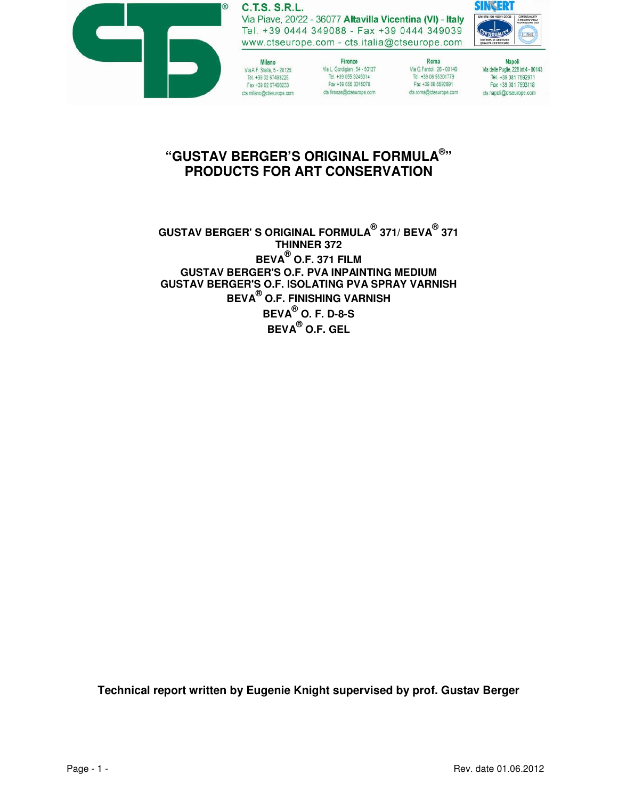

## **C.T.S. S.R.L.**

Via Piave, 20/22 - 36077 Altavilla Vicentina (VI) - Italy Tel. +39 0444 349088 - Fax +39 0444 349039 www.ctseurope.com - cts.italia@ctseurope.com



Milano Via A.F. Stella, 5 - 20125 Tel. +39 02 67493225 Fax +39 02 67493233 cts.milano@ctseurope.com

Firenze Via L. Gordigiani, 54 - 50127 Tel. +39 055 3245014<br>Fax +39 055 3245078 cts.firenze@ctseurope.com

Roma Via G.Fantoli, 26 - 00149 Tel. +39 06 55301779 Fax +39 06 5592891 cts.roma@ctseurope.com

Napoli Via delle Puglie, 228 int.4 - 80143 Tel. +39 081 7592971 Fax +39 081 7593118 cts.napoli@ctseurope.com

# **"GUSTAV BERGER'S ORIGINAL FORMULA® " PRODUCTS FOR ART CONSERVATION**

**GUSTAV BERGER' S ORIGINAL FORMULA® 371/ BEVA® 371 THINNER 372 BEVA® O.F. 371 FILM GUSTAV BERGER'S O.F. PVA INPAINTING MEDIUM GUSTAV BERGER'S O.F. ISOLATING PVA SPRAY VARNISH BEVA® O.F. FINISHING VARNISH BEVA® O. F. D-8-S BEVA® O.F. GEL**

**Technical report written by Eugenie Knight supervised by prof. Gustav Berger**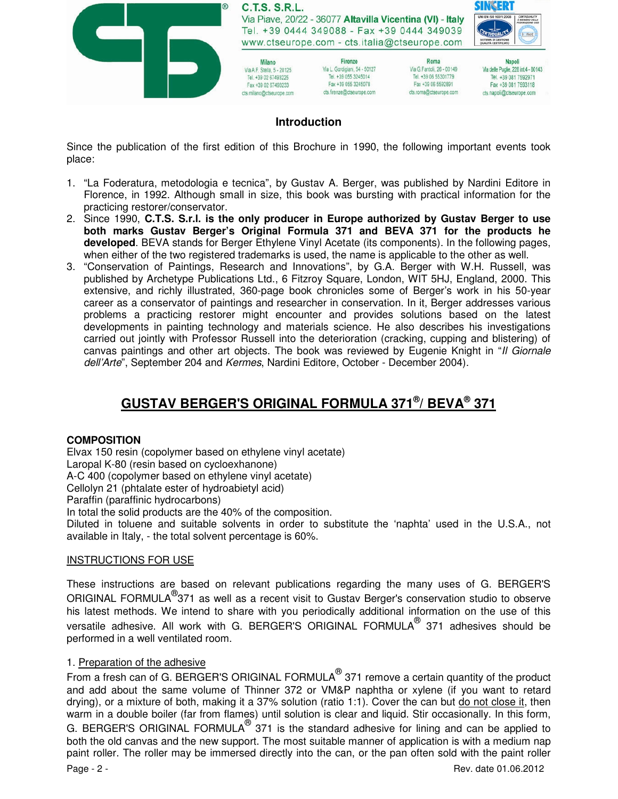

# **Introduction**

Since the publication of the first edition of this Brochure in 1990, the following important events took place:

- 1. "La Foderatura, metodologia e tecnica", by Gustav A. Berger, was published by Nardini Editore in Florence, in 1992. Although small in size, this book was bursting with practical information for the practicing restorer/conservator.
- 2. Since 1990, **C.T.S. S.r.l. is the only producer in Europe authorized by Gustav Berger to use both marks Gustav Berger's Original Formula 371 and BEVA 371 for the products he developed**. BEVA stands for Berger Ethylene Vinyl Acetate (its components). In the following pages, when either of the two registered trademarks is used, the name is applicable to the other as well.
- 3. "Conservation of Paintings, Research and Innovations", by G.A. Berger with W.H. Russell, was published by Archetype Publications Ltd., 6 Fitzroy Square, London, WIT 5HJ, England, 2000. This extensive, and richly illustrated, 360-page book chronicles some of Berger's work in his 50-year career as a conservator of paintings and researcher in conservation. In it, Berger addresses various problems a practicing restorer might encounter and provides solutions based on the latest developments in painting technology and materials science. He also describes his investigations carried out jointly with Professor Russell into the deterioration (cracking, cupping and blistering) of canvas paintings and other art objects. The book was reviewed by Eugenie Knight in "Il Giornale dell'Arte", September 204 and Kermes, Nardini Editore, October - December 2004).

# **GUSTAV BERGER'S ORIGINAL FORMULA 371® / BEVA® 371**

## **COMPOSITION**

Elvax 150 resin (copolymer based on ethylene vinyl acetate) Laropal K-80 (resin based on cycloexhanone) A-C 400 (copolymer based on ethylene vinyl acetate) Cellolyn 21 (phtalate ester of hydroabietyl acid) Paraffin (paraffinic hydrocarbons) In total the solid products are the 40% of the composition.

Diluted in toluene and suitable solvents in order to substitute the 'naphta' used in the U.S.A., not available in Italy, - the total solvent percentage is 60%.

## INSTRUCTIONS FOR USE

These instructions are based on relevant publications regarding the many uses of G. BERGER'S ORIGINAL FORMULA<sup>®</sup>371 as well as a recent visit to Gustav Berger's conservation studio to observe his latest methods. We intend to share with you periodically additional information on the use of this versatile adhesive. All work with G. BERGER'S ORIGINAL FORMULA<sup>®</sup> 371 adhesives should be performed in a well ventilated room.

## 1. Preparation of the adhesive

Page - 2 - Rev. date 01.06.2012 From a fresh can of G. BERGER'S ORIGINAL FORMULA $^{\circledR}$  371 remove a certain quantity of the product and add about the same volume of Thinner 372 or VM&P naphtha or xylene (if you want to retard drying), or a mixture of both, making it a 37% solution (ratio 1:1). Cover the can but do not close it, then warm in a double boiler (far from flames) until solution is clear and liquid. Stir occasionally. In this form, G. BERGER'S ORIGINAL FORMULA $^{\circledR}$  371 is the standard adhesive for lining and can be applied to both the old canvas and the new support. The most suitable manner of application is with a medium nap paint roller. The roller may be immersed directly into the can, or the pan often sold with the paint roller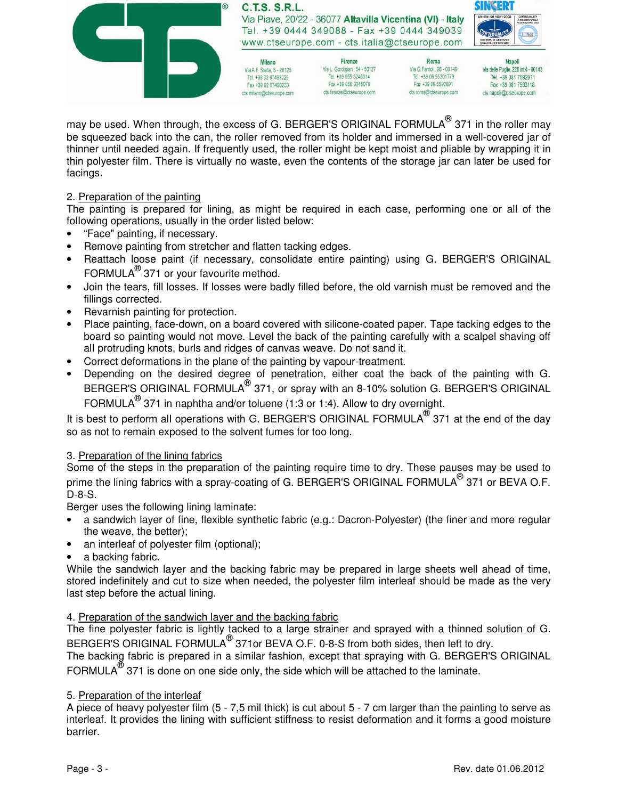

may be used. When through, the excess of G. BERGER'S ORIGINAL FORMULA $^\circledR$  371 in the roller may be squeezed back into the can, the roller removed from its holder and immersed in a well-covered jar of thinner until needed again. If frequently used, the roller might be kept moist and pliable by wrapping it in thin polyester film. There is virtually no waste, even the contents of the storage jar can later be used for facings.

### 2. Preparation of the painting

The painting is prepared for lining, as might be required in each case, performing one or alI of the folIowing operations, usually in the order listed below:

- "Face" painting, if necessary.
- Remove painting from stretcher and flatten tacking edges.
- Reattach loose paint (if necessary, consolidate entire painting) using G. BERGER'S ORIGINAL FORMULA $^{\circledR}$  371 or your favourite method.
- Join the tears, fill losses. If losses were badly filled before, the old varnish must be removed and the fillings corrected.
- Revarnish painting for protection.
- Place painting, face-down, on a board covered with silicone-coated paper. Tape tacking edges to the board so painting would not move. Level the back of the painting carefully with a scalpel shaving off alI protruding knots, burls and ridges of canvas weave. Do not sand it.
- Correct deformations in the plane of the painting by vapour-treatment.
- Depending on the desired degree of penetration, either coat the back of the painting with G. BERGER'S ORIGINAL FORMULA<sup>®</sup> 371, or spray with an 8-10% solution G. BERGER'S ORIGINAL FORMULA $^{\circledR}$  371 in naphtha and/or toluene (1:3 or 1:4). Allow to dry overnight.

It is best to perform all operations with G. BERGER'S ORIGINAL FORMULA $^\circledR$  371 at the end of the day so as not to remain exposed to the solvent fumes for too long.

### 3. Preparation of the lining fabrics

Some of the steps in the preparation of the painting require time to dry. These pauses may be used to prime the lining fabrics with a spray-coating of G. BERGER'S ORIGINAL FORMULA<sup>®</sup> 371 or BEVA O.F. D-8-S.

Berger uses the following lining laminate:

- a sandwich layer of fine, flexible synthetic fabric (e.g.: Dacron-Polyester) (the finer and more regular the weave, the better);
- an interleaf of polyester film (optional);
- a backing fabric.

While the sandwich layer and the backing fabric may be prepared in large sheets well ahead of time, stored indefinitely and cut to size when needed, the polyester film interleaf should be made as the very last step before the actual lining.

### 4. Preparation of the sandwich layer and the backing fabric

The fine polyester fabric is lightly tacked to a large strainer and sprayed with a thinned solution of G. BERGER'S ORIGINAL FORMULA<sup>®</sup> 371 or BEVA O.F. 0-8-S from both sides, then left to dry.

The backing fabric is prepared in a similar fashion, except that spraying with G. BERGER'S ORIGINAL FORMULA $^{\circledR}$  371 is done on one side only, the side which will be attached to the laminate.

### 5. Preparation of the interleaf

A piece of heavy polyester film (5 - 7,5 mil thick) is cut about 5 - 7 cm larger than the painting to serve as interleaf. It provides the lining with sufficient stiffness to resist deformation and it forms a good moisture barrier.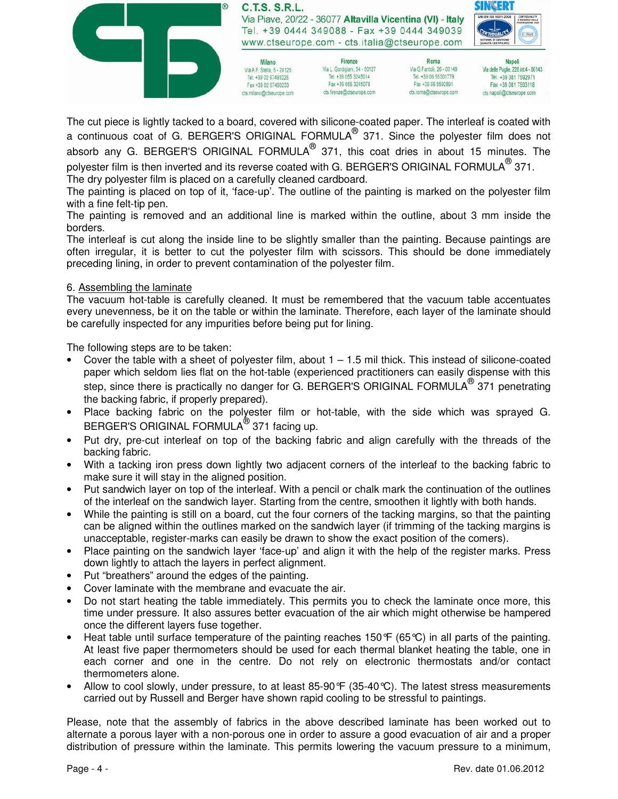

The cut piece is lightly tacked to a board, covered with silicone-coated paper. The interleaf is coated with a continuous coat of G. BERGER'S ORIGINAL FORMULA $^{\circledR}$  371. Since the polyester film does not absorb any G. BERGER'S ORIGINAL FORMULA $^\circledR$  371, this coat dries in about 15 minutes. The polyester film is then inverted and its reverse coated with G. BERGER'S ORIGINAL FORMULA $^\circledR$ 371.

The dry polyester film is placed on a carefully cleaned cardboard.

The painting is placed on top of it, 'face-up'. The outline of the painting is marked on the polyester film with a fine felt-tip pen.

The painting is removed and an additional line is marked within the outline, about 3 mm inside the borders.

The interleaf is cut along the inside line to be slightly smaller than the painting. Because paintings are often irregular, it is better to cut the polyester film with scissors. This should be done immediately preceding lining, in order to prevent contamination of the polyester film.

### 6. Assembling the laminate

The vacuum hot-table is carefully cleaned. It must be remembered that the vacuum table accentuates every unevenness, be it on the table or within the laminate. Therefore, each layer of the laminate should be carefully inspected for any impurities before being put for lining.

The following steps are to be taken:

- Cover the table with a sheet of polyester film, about  $1 1.5$  mil thick. This instead of silicone-coated paper which seldom lies flat on the hot-table (experienced practitioners can easily dispense with this step, since there is practically no danger for G. BERGER'S ORIGINAL FORMULA $^{\circledR}$  371 penetrating the backing fabric, if properly prepared).
- Place backing fabric on the polyester film or hot-table, with the side which was sprayed G. BERGER'S ORIGINAL FORMULA<sup>®</sup> 371 facing up.
- Put dry, pre-cut interleaf on top of the backing fabric and align carefully with the threads of the backing fabric.
- With a tacking iron press down lightly two adjacent corners of the interleaf to the backing fabric to make sure it will stay in the aligned position.
- Put sandwich layer on top of the interleaf. With a pencil or chalk mark the continuation of the outlines of the interleaf on the sandwich layer. Starting from the centre, smoothen it lightly with both hands.
- While the painting is still on a board, cut the four corners of the tacking margins, so that the painting can be aligned within the outlines marked on the sandwich layer (if trimming of the tacking margins is unacceptable, register-marks can easily be drawn to show the exact position of the comers).
- Place painting on the sandwich layer 'face-up' and align it with the help of the register marks. Press down lightly to attach the layers in perfect alignment.
- Put "breathers" around the edges of the painting.
- Cover laminate with the membrane and evacuate the air.
- Do not start heating the table immediately. This permits you to check the laminate once more, this time under pressure. It also assures better evacuation of the air which might otherwise be hampered once the different layers fuse together.
- Heat table until surface temperature of the painting reaches 150°F (65°C) in all parts of the painting. At least five paper thermometers should be used for each thermal blanket heating the table, one in each corner and one in the centre. Do not rely on electronic thermostats and/or contact thermometers alone.
- Allow to cool slowly, under pressure, to at least 85-90 $\mathcal{F}$  (35-40 $\mathcal{C}$ ). The latest stress measurements carried out by Russell and Berger have shown rapid cooling to be stressful to paintings.

Please, note that the assembly of fabrics in the above described laminate has been worked out to alternate a porous layer with a non-porous one in order to assure a good evacuation of air and a proper distribution of pressure within the laminate. This permits lowering the vacuum pressure to a minimum,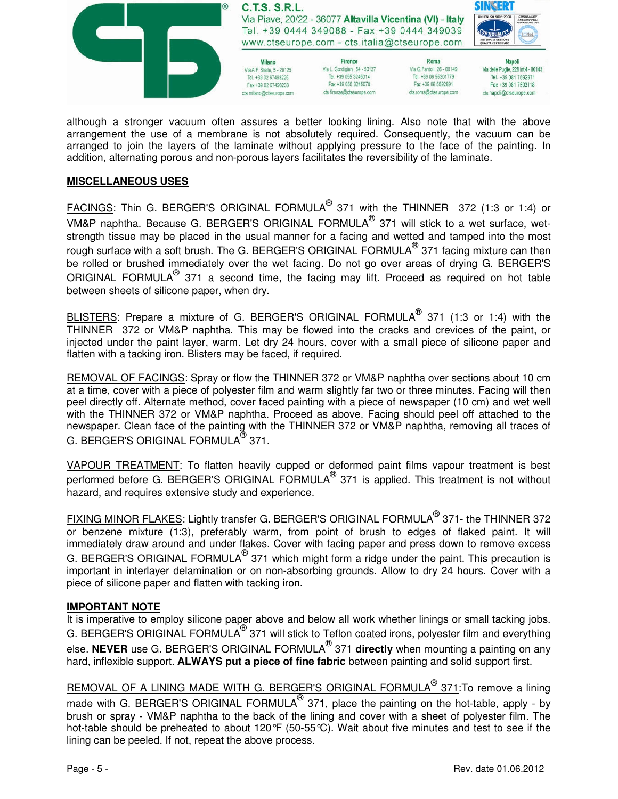

although a stronger vacuum often assures a better looking lining. Also note that with the above arrangement the use of a membrane is not absolutely required. Consequently, the vacuum can be arranged to join the layers of the laminate without applying pressure to the face of the painting. In addition, alternating porous and non-porous layers facilitates the reversibility of the laminate.

#### **MISCELLANEOUS USES**

 ${\tt FACINGS}$ : Thin G. BERGER'S ORIGINAL FORMULA $^\circledR$  371 with the THINNER  $\,$  372 (1:3 or 1:4) or VM&P naphtha. Because G. BERGER'S ORIGINAL FORMULA $^\circledR$  371 will stick to a wet surface, wetstrength tissue may be placed in the usual manner for a facing and wetted and tamped into the most rough surface with a soft brush. The G. BERGER'S ORIGINAL FORMULA $^{\circledR}$  371 facing mixture can then be rolled or brushed immediately over the wet facing. Do not go over areas of drying G. BERGER'S ORIGINAL FORMULA<sup>®</sup> 371 a second time, the facing may lift. Proceed as required on hot table between sheets of silicone paper, when dry.

BLISTERS: Prepare a mixture of G. BERGER'S ORIGINAL FORMULA<sup>®</sup> 371 (1:3 or 1:4) with the THINNER 372 or VM&P naphtha. This may be flowed into the cracks and crevices of the paint, or injected under the paint layer, warm. Let dry 24 hours, cover with a small piece of silicone paper and flatten with a tacking iron. Blisters may be faced, if required.

REMOVAL OF FACINGS: Spray or flow the THINNER 372 or VM&P naphtha over sections about 10 cm at a time, cover with a piece of polyester film and warm slightly far two or three minutes. Facing will then peel directly off. Alternate method, cover faced painting with a piece of newspaper (10 cm) and wet well with the THINNER 372 or VM&P naphtha. Proceed as above. Facing should peel off attached to the newspaper. Clean face of the painting with the THINNER 372 or VM&P naphtha, removing all traces of G. BERGER'S ORIGINAL FORMULA $^\text{\textregistered}$ 371.

VAPOUR TREATMENT: To flatten heavily cupped or deformed paint films vapour treatment is best performed before G. BERGER'S ORIGINAL FORMULA $^{\circledR}$  371 is applied. This treatment is not without hazard, and requires extensive study and experience.

FIXING MINOR FLAKES: Lightly transfer G. BERGER'S ORIGINAL FORMULA<sup>®</sup> 371- the THINNER 372 or benzene mixture (1:3), preferably warm, from point of brush to edges of flaked paint. It will immediately draw around and under flakes. Cover with facing paper and press down to remove excess G. BERGER'S ORIGINAL FORMULA $^{\circledR}$  371 which might form a ridge under the paint. This precaution is important in interlayer delamination or on non-absorbing grounds. Allow to dry 24 hours. Cover with a piece of silicone paper and flatten with tacking iron.

### **IMPORTANT NOTE**

It is imperative to employ silicone paper above and below all work whether linings or small tacking jobs. G. BERGER'S ORIGINAL FORMULA<sup>®</sup> 371 will stick to Teflon coated irons, polyester film and everything else. **NEVER** use G. BERGER'S ORIGINAL FORMULA® 371 **directly** when mounting a painting on any hard, inflexible support. **ALWAYS put a piece of fine fabric** between painting and solid support first.

REMOVAL OF A LINING MADE WITH G. BERGER'S ORIGINAL FORMULA<sup>®</sup> 371:To remove a lining made with G. BERGER'S ORIGINAL FORMULA $^\circledast$  371, place the painting on the hot-table, apply - by brush or spray - VM&P naphtha to the back of the lining and cover with a sheet of polyester film. The hot-table should be preheated to about 120°F (50-55°C). Wait about five minutes and test to see if the lining can be peeled. If not, repeat the above process.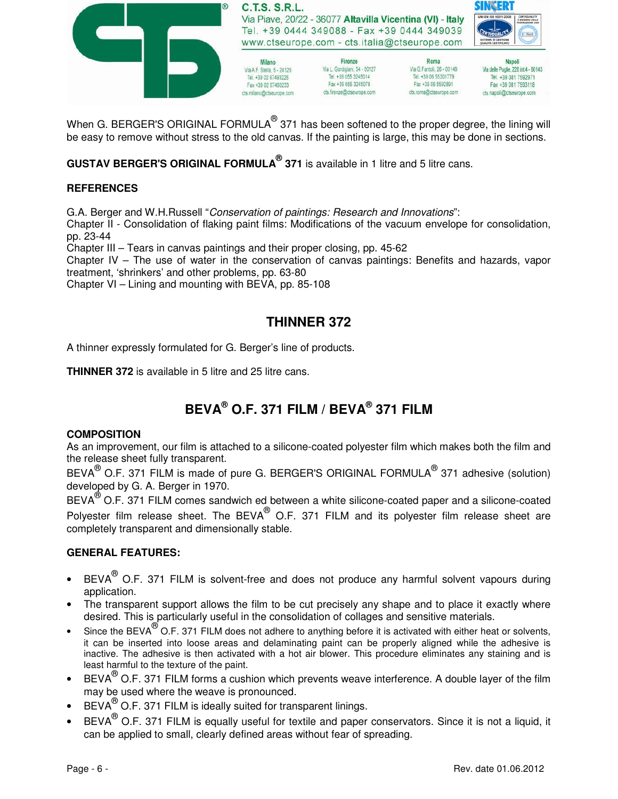

When G. BERGER'S ORIGINAL FORMULA $^\circledR$  371 has been softened to the proper degree, the lining will be easy to remove without stress to the old canvas. If the painting is large, this may be done in sections.

**GUSTAV BERGER'S ORIGINAL FORMULA® 371** is available in 1 litre and 5 litre cans.

# **REFERENCES**

G.A. Berger and W.H.Russell "Conservation of paintings: Research and Innovations":

Chapter II - Consolidation of flaking paint films: Modifications of the vacuum envelope for consolidation, pp. 23-44

Chapter III – Tears in canvas paintings and their proper closing, pp. 45-62

Chapter IV – The use of water in the conservation of canvas paintings: Benefits and hazards, vapor treatment, 'shrinkers' and other problems, pp. 63-80

Chapter VI – Lining and mounting with BEVA, pp. 85-108

# **THINNER 372**

A thinner expressly formulated for G. Berger's line of products.

**THINNER 372** is available in 5 litre and 25 litre cans.

# **BEVA® O.F. 371 FILM / BEVA® 371 FILM**

### **COMPOSITION**

As an improvement, our film is attached to a silicone-coated polyester film which makes both the film and the release sheet fully transparent.

BEVA $^{\circledR}$  O.F. 371 FILM is made of pure G. BERGER'S ORIGINAL FORMULA $^{\circledR}$  371 adhesive (solution) developed by G. A. Berger in 1970.

BEVA $^{\circledR}$  O.F. 371 FILM comes sandwich ed between a white silicone-coated paper and a silicone-coated Polyester film release sheet. The BEVA $^{\circledR}$  O.F. 371 FILM and its polyester film release sheet are completely transparent and dimensionally stable.

## **GENERAL FEATURES:**

- BEVA $^{\circledR}$  O.F. 371 FILM is solvent-free and does not produce any harmful solvent vapours during application.
- The transparent support allows the film to be cut precisely any shape and to place it exactly where desired. This is particularly useful in the consolidation of collages and sensitive materials.
- Since the BEVA $^{\circledR}$  O.F. 371 FILM does not adhere to anything before it is activated with either heat or solvents, it can be inserted into loose areas and delaminating paint can be properly aligned while the adhesive is inactive. The adhesive is then activated with a hot air blower. This procedure eliminates any staining and is least harmful to the texture of the paint.
- BEVA $^{\circ}$  O.F. 371 FILM forms a cushion which prevents weave interference. A double layer of the film may be used where the weave is pronounced.
- BEVA $^{\circledR}$  O.F. 371 FILM is ideally suited for transparent linings.
- BEVA $^{\circledR}$  O.F. 371 FILM is equally useful for textile and paper conservators. Since it is not a liquid, it can be applied to small, clearly defined areas without fear of spreading.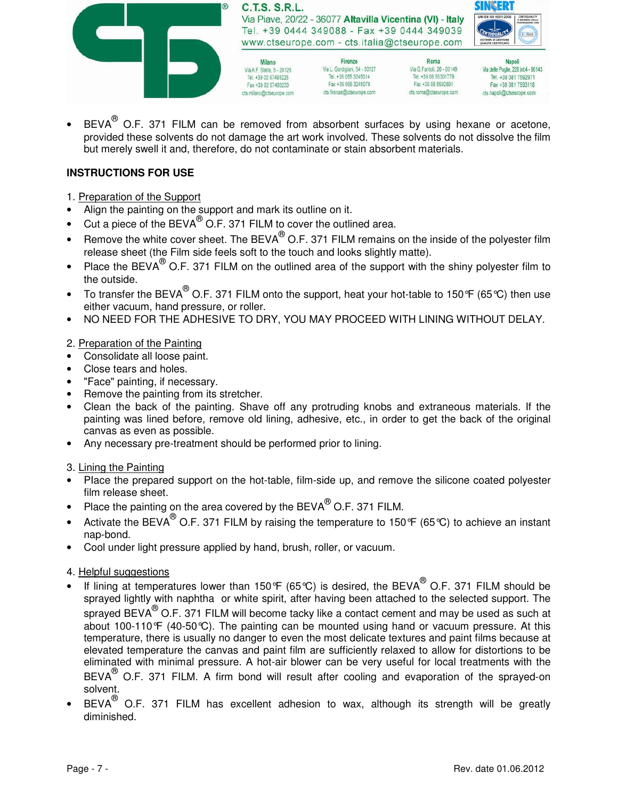

• BEVA $^{\circ}$  O.F. 371 FILM can be removed from absorbent surfaces by using hexane or acetone, provided these solvents do not damage the art work involved. These solvents do not dissolve the film but merely swell it and, therefore, do not contaminate or stain absorbent materials.

## **INSTRUCTIONS FOR USE**

- 1. Preparation of the Support
- Align the painting on the support and mark its outline on it.
- $\bullet$  Cut a piece of the BEVA $^{\circledR}$  O.F. 371 FILM to cover the outlined area.
- Remove the white cover sheet. The BEVA $^{\circledR}$  O.F. 371 FILM remains on the inside of the polyester film release sheet (the Film side feels soft to the touch and looks slightly matte).
- Place the BEVA $^{\circledR}$  O.F. 371 FILM on the outlined area of the support with the shiny polyester film to the outside.
- To transfer the BEVA<sup>®</sup> O.F. 371 FILM onto the support, heat your hot-table to 150°F (65°C) then use either vacuum, hand pressure, or roller.
- NO NEED FOR THE ADHESIVE TO DRY, YOU MAY PROCEED WITH LINING WITHOUT DELAY.

### 2. Preparation of the Painting

- Consolidate all loose paint.
- Close tears and holes.
- "Face" painting, if necessary.
- Remove the painting from its stretcher.
- Clean the back of the painting. Shave off any protruding knobs and extraneous materials. If the painting was lined before, remove old lining, adhesive, etc., in order to get the back of the original canvas as even as possible.
- Any necessary pre-treatment should be performed prior to lining.

### 3. Lining the Painting

- PIace the prepared support on the hot-table, film-side up, and remove the silicone coated polyester film release sheet.
- Place the painting on the area covered by the BEVA $^{\circledR}$  O.F. 371 FILM.
- Activate the BEVA $^{\circledR}$  O.F. 371 FILM by raising the temperature to 150°F (65°C) to achieve an instant nap-bond.
- Cool under light pressure applied by hand, brush, roller, or vacuum.

### 4. Helpful suggestions

- If lining at temperatures lower than 150°F (65°C) is desired, the BEVA $^{\circledR}$  O.F. 371 FILM should be sprayed lightly with naphtha or white spirit, after having been attached to the selected support. The sprayed BEVA $^{(0)}$  O.F. 371 FILM will become tacky like a contact cement and may be used as such at about 100-110°F (40-50°C). The painting can be mounted using hand or vacuum pressure. At this temperature, there is usually no danger to even the most delicate textures and paint films because at elevated temperature the canvas and paint film are sufficiently relaxed to allow for distortions to be eliminated with minimal pressure. A hot-air blower can be very useful for local treatments with the BEVA $^{\circledR}$  O.F. 371 FILM. A firm bond will result after cooling and evaporation of the sprayed-on solvent.
- BEVA $^{\circledR}$  O.F. 371 FILM has excellent adhesion to wax, although its strength will be greatly diminished.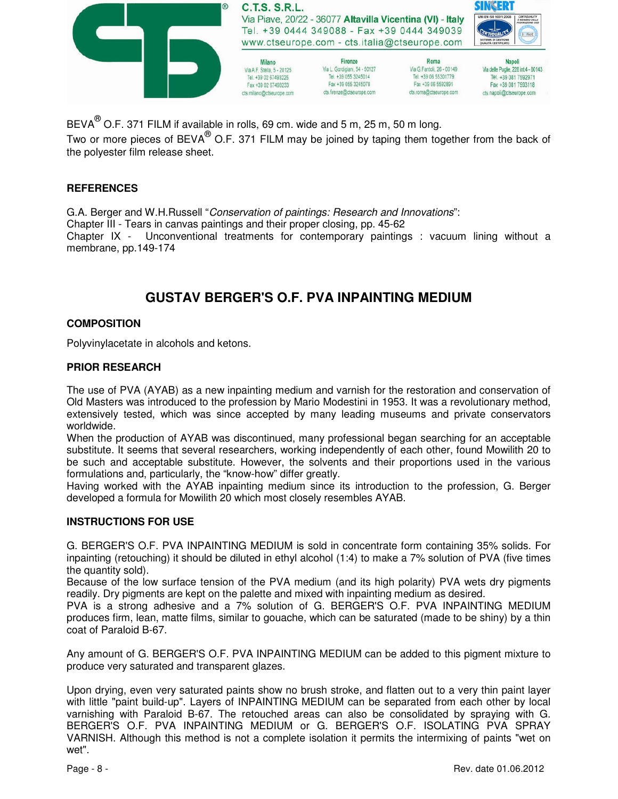

BEVA $^\circledR$  O.F. 371 FILM if available in rolls, 69 cm. wide and 5 m, 25 m, 50 m long.

Two or more pieces of BEVA® O.F. 371 FILM may be joined by taping them together from the back of the polyester film release sheet.

### **REFERENCES**

G.A. Berger and W.H.Russell "Conservation of paintings: Research and Innovations": Chapter III - Tears in canvas paintings and their proper closing, pp. 45-62 Chapter IX - Unconventional treatments for contemporary paintings : vacuum lining without a membrane, pp.149-174

# **GUSTAV BERGER'S O.F. PVA INPAINTING MEDIUM**

### **COMPOSITION**

Polyvinylacetate in alcohols and ketons.

#### **PRIOR RESEARCH**

The use of PVA (AYAB) as a new inpainting medium and varnish for the restoration and conservation of Old Masters was introduced to the profession by Mario Modestini in 1953. It was a revolutionary method, extensively tested, which was since accepted by many leading museums and private conservators worldwide.

When the production of AYAB was discontinued, many professional began searching for an acceptable substitute. It seems that several researchers, working independently of each other, found Mowilith 20 to be such and acceptable substitute. However, the solvents and their proportions used in the various formulations and, particularly, the "know-how" differ greatly.

Having worked with the AYAB inpainting medium since its introduction to the profession, G. Berger developed a formula for Mowilith 20 which most closely resembles AYAB.

### **INSTRUCTIONS FOR USE**

G. BERGER'S O.F. PVA INPAINTING MEDIUM is sold in concentrate form containing 35% solids. For inpainting (retouching) it should be diluted in ethyl alcohol (1:4) to make a 7% solution of PVA (five times the quantity sold).

Because of the low surface tension of the PVA medium (and its high polarity) PVA wets dry pigments readily. Dry pigments are kept on the palette and mixed with inpainting medium as desired.

PVA is a strong adhesive and a 7% solution of G. BERGER'S O.F. PVA INPAINTING MEDIUM produces firm, lean, matte films, similar to gouache, which can be saturated (made to be shiny) by a thin coat of Paraloid B-67.

Any amount of G. BERGER'S O.F. PVA INPAINTING MEDIUM can be added to this pigment mixture to produce very saturated and transparent glazes.

Upon drying, even very saturated paints show no brush stroke, and flatten out to a very thin paint layer with little "paint build-up". Layers of INPAINTING MEDIUM can be separated from each other by local varnishing with Paraloid B-67. The retouched areas can also be consolidated by spraying with G. BERGER'S O.F. PVA INPAINTING MEDIUM or G. BERGER'S O.F. ISOLATING PVA SPRAY VARNISH. Although this method is not a complete isolation it permits the intermixing of paints "wet on wet".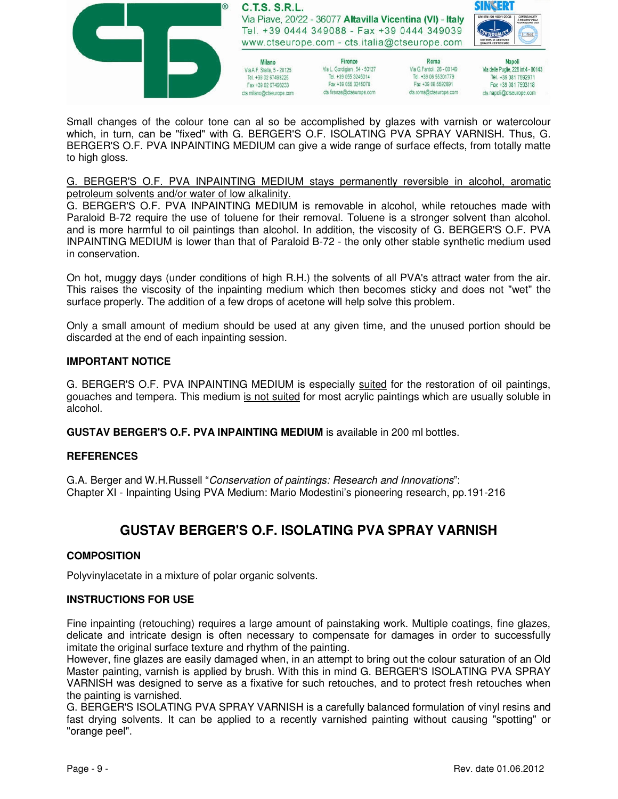

Small changes of the colour tone can al so be accomplished by glazes with varnish or watercolour which, in turn, can be "fixed" with G. BERGER'S O.F. ISOLATING PVA SPRAY VARNISH. Thus, G. BERGER'S O.F. PVA INPAINTING MEDIUM can give a wide range of surface effects, from totally matte to high gloss.

#### G. BERGER'S O.F. PVA INPAINTING MEDIUM stays permanently reversible in alcohol, aromatic petroleum solvents and/or water of low alkalinity.

G. BERGER'S O.F. PVA INPAINTING MEDIUM is removable in alcohol, while retouches made with Paraloid B-72 require the use of toluene for their removal. Toluene is a stronger solvent than alcohol. and is more harmful to oil paintings than alcohol. In addition, the viscosity of G. BERGER'S O.F. PVA INPAINTING MEDIUM is lower than that of Paraloid B-72 - the only other stable synthetic medium used in conservation.

On hot, muggy days (under conditions of high R.H.) the solvents of all PVA's attract water from the air. This raises the viscosity of the inpainting medium which then becomes sticky and does not "wet" the surface properly. The addition of a few drops of acetone will help solve this problem.

Only a small amount of medium should be used at any given time, and the unused portion should be discarded at the end of each inpainting session.

### **IMPORTANT NOTICE**

G. BERGER'S O.F. PVA INPAINTING MEDIUM is especially suited for the restoration of oil paintings, gouaches and tempera. This medium is not suited for most acrylic paintings which are usually soluble in alcohol.

**GUSTAV BERGER'S O.F. PVA INPAINTING MEDIUM** is available in 200 ml bottles.

### **REFERENCES**

G.A. Berger and W.H.Russell "Conservation of paintings: Research and Innovations": Chapter XI - Inpainting Using PVA Medium: Mario Modestini's pioneering research, pp.191-216

# **GUSTAV BERGER'S O.F. ISOLATING PVA SPRAY VARNISH**

### **COMPOSITION**

Polyvinylacetate in a mixture of polar organic solvents.

### **INSTRUCTIONS FOR USE**

Fine inpainting (retouching) requires a large amount of painstaking work. Multiple coatings, fine glazes, delicate and intricate design is often necessary to compensate for damages in order to successfully imitate the original surface texture and rhythm of the painting.

However, fine glazes are easily damaged when, in an attempt to bring out the colour saturation of an Old Master painting, varnish is applied by brush. With this in mind G. BERGER'S ISOLATING PVA SPRAY VARNISH was designed to serve as a fixative for such retouches, and to protect fresh retouches when the painting is varnished.

G. BERGER'S ISOLATING PVA SPRAY VARNISH is a carefully balanced formulation of vinyl resins and fast drying solvents. It can be applied to a recently varnished painting without causing "spotting" or "orange peel".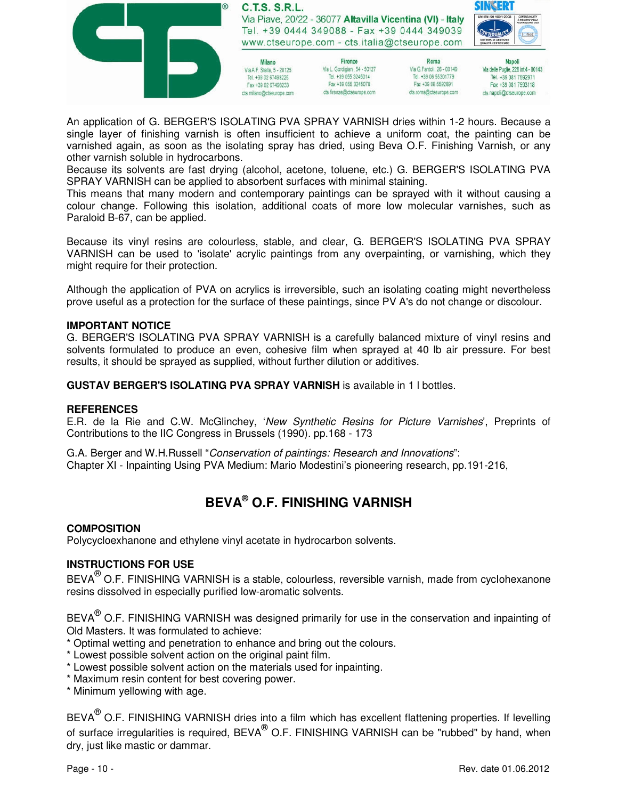

An application of G. BERGER'S ISOLATING PVA SPRAY VARNISH dries within 1-2 hours. Because a single layer of finishing varnish is often insufficient to achieve a uniform coat, the painting can be varnished again, as soon as the isolating spray has dried, using Beva O.F. Finishing Varnish, or any other varnish soluble in hydrocarbons.

Because its solvents are fast drying (alcohol, acetone, toluene, etc.) G. BERGER'S ISOLATING PVA SPRAY VARNISH can be applied to absorbent surfaces with minimal staining.

This means that many modern and contemporary paintings can be sprayed with it without causing a colour change. Following this isolation, additional coats of more low molecular varnishes, such as Paraloid B-67, can be applied.

Because its vinyl resins are colourless, stable, and clear, G. BERGER'S ISOLATING PVA SPRAY VARNISH can be used to 'isolate' acrylic paintings from any overpainting, or varnishing, which they might require for their protection.

Although the application of PVA on acrylics is irreversible, such an isolating coating might nevertheless prove useful as a protection for the surface of these paintings, since PV A's do not change or discolour.

#### **IMPORTANT NOTICE**

G. BERGER'S ISOLATING PVA SPRAY VARNISH is a carefully balanced mixture of vinyl resins and solvents formulated to produce an even, cohesive film when sprayed at 40 lb air pressure. For best results, it should be sprayed as supplied, without further dilution or additives.

**GUSTAV BERGER'S ISOLATING PVA SPRAY VARNISH** is available in 1 l bottles.

#### **REFERENCES**

E.R. de la Rie and C.W. McGlinchey, 'New Synthetic Resins for Picture Varnishes', Preprints of Contributions to the IIC Congress in Brussels (1990). pp.168 - 173

G.A. Berger and W.H.Russell "Conservation of paintings: Research and Innovations": Chapter XI - Inpainting Using PVA Medium: Mario Modestini's pioneering research, pp.191-216,

# **BEVA® O.F. FINISHING VARNISH**

#### **COMPOSITION**

Polycycloexhanone and ethylene vinyl acetate in hydrocarbon solvents.

### **INSTRUCTIONS FOR USE**

BEVA $^\circledR$  O.F. FINISHING VARNISH is a stable, colourless, reversible varnish, made from cyclohexanone resins dissolved in especially purified low-aromatic solvents.

BEVA $^\circledR$  O.F. FINISHING VARNISH was designed primarily for use in the conservation and inpainting of Old Masters. It was formulated to achieve:

\* Optimal wetting and penetration to enhance and bring out the colours.

- \* Lowest possible solvent action on the original paint film.
- \* Lowest possible solvent action on the materials used for inpainting.
- \* Maximum resin content for best covering power.
- \* Minimum yellowing with age.

BEVA $^{\circledR}$  O.F. FINISHING VARNISH dries into a film which has excellent flattening properties. If levelling of surface irregularities is required, BEVA $^\circledR$  O.F. FINISHING VARNISH can be "rubbed" by hand, when dry, just like mastic or dammar.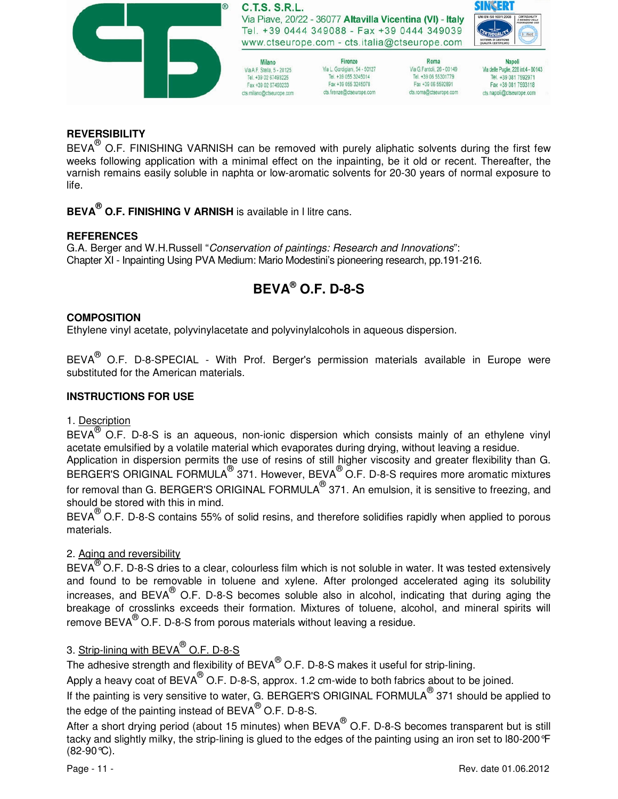

### **REVERSIBILITY**

BEVA ${}^{@}$  O.F. FINISHING VARNISH can be removed with purely aliphatic solvents during the first few weeks following application with a minimal effect on the inpainting, be it old or recent. Thereafter, the varnish remains easily soluble in naphta or low-aromatic solvents for 20-30 years of normal exposure to life.

**BEVA® O.F. FINISHING V ARNISH** is available in l litre cans.

### **REFERENCES**

G.A. Berger and W.H.Russell "Conservation of paintings: Research and Innovations": Chapter XI - Inpainting Using PVA Medium: Mario Modestini's pioneering research, pp.191-216.

# **BEVA® O.F. D-8-S**

### **COMPOSITION**

Ethylene vinyl acetate, polyvinylacetate and polyvinylalcohols in aqueous dispersion.

BEVA $^{\circledR}$  O.F. D-8-SPECIAL - With Prof. Berger's permission materials available in Europe were substituted for the American materials.

### **INSTRUCTIONS FOR USE**

### 1. Description

BEVA<sup>®</sup> O.F. D-8-S is an aqueous, non-ionic dispersion which consists mainly of an ethylene vinyl acetate emulsified by a volatile material which evaporates during drying, without leaving a residue.

Application in dispersion permits the use of resins of still higher viscosity and greater flexibility than G. BERGER'S ORIGINAL FORMULA $^{\circledR}$  371. However, BEVA $^{\circledR}$ O.F. D-8-S requires more aromatic mixtures for removal than G. BERGER'S ORIGINAL FORMULA $^\circledR$  371. An emulsion, it is sensitive to freezing, and should be stored with this in mind.

BEVA<sup>®</sup> O.F. D-8-S contains 55% of solid resins, and therefore solidifies rapidly when applied to porous materials.

## 2. Aging and reversibility

BEVA<sup>®</sup> O.F. D-8-S dries to a clear, colourless film which is not soluble in water. It was tested extensively and found to be removable in toluene and xylene. After prolonged accelerated aging its solubility increases, and BEVA® O.F. D-8-S becomes soluble also in alcohol, indicating that during aging the breakage of crosslinks exceeds their formation. Mixtures of toluene, alcohol, and mineral spirits will remove BEVA $^{(8)}$  O.F. D-8-S from porous materials without leaving a residue.

# 3. <u>Strip-lining with BEVA<sup>®</sup> O.F. D-8-S</u>

The adhesive strength and flexibility of BEVA $^\circledR$  O.F. D-8-S makes it useful for strip-lining.

Apply a heavy coat of BEVA $^\circledR$  O.F. D-8-S, approx. 1.2 cm-wide to both fabrics about to be joined.

If the painting is very sensitive to water, G. BERGER'S ORIGINAL FORMULA $^\circledR$  371 should be applied to the edge of the painting instead of BEVA $^\circledR$  O.F. D-8-S.

After a short drying period (about 15 minutes) when BEVA $^{\circledR}$  O.F. D-8-S becomes transparent but is still tacky and slightly milky, the strip-lining is glued to the edges of the painting using an iron set to l80-200°F (82-90°C).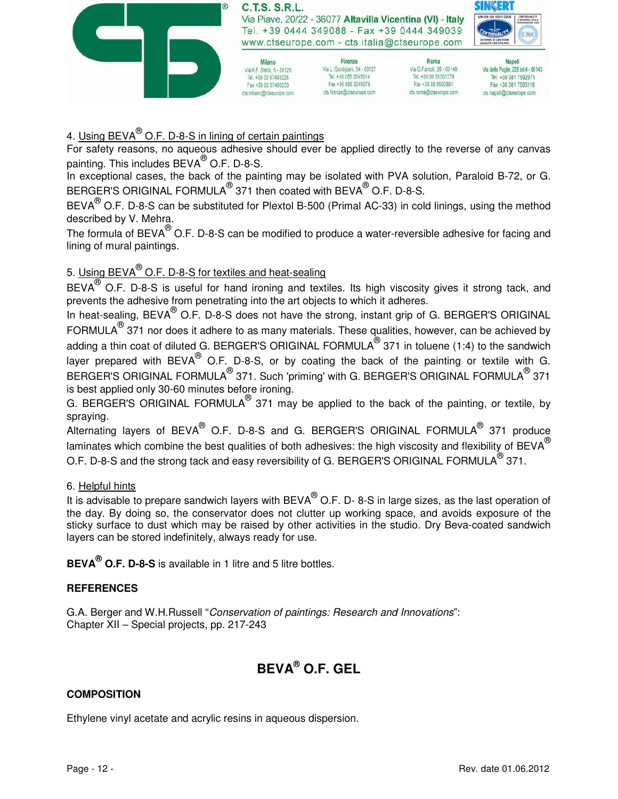

# 4. Using BEVA<sup>®</sup> O.F. D-8-S in lining of certain paintings

For safety reasons, no aqueous adhesive should ever be applied directly to the reverse of any canvas painting. This includes  $BEVA^{\textcircled{\tiny{\textcirc}}}$  O.F. D-8-S.

In exceptional cases, the back of the painting may be isolated with PVA solution, Paraloid B-72, or G. BERGER'S ORIGINAL FORMULA $^{\circledR}$  371 then coated with BEVA $^{\circledR}$  O.F. D-8-S.

BEVA $^{(0)}$  O.F. D-8-S can be substituted for Plextol B-500 (Primal AC-33) in cold linings, using the method described by V. Mehra.

The formula of BEVA $^\circledR$  O.F. D-8-S can be modified to produce a water-reversible adhesive for facing and lining of mural paintings.

# 5. <u>Using BEVA<sup>®</sup> O.F. D-8-S for textiles and heat-sealing</u>

BEVA $^{(8)}$  O.F. D-8-S is useful for hand ironing and textiles. Its high viscosity gives it strong tack, and prevents the adhesive from penetrating into the art objects to which it adheres.

In heat-sealing, BEVA<sup>®</sup> O.F. D-8-S does not have the strong, instant grip of G. BERGER'S ORIGINAL FORMULA $^{\circledR}$  371 nor does it adhere to as many materials. These qualities, however, can be achieved by adding a thin coat of diluted G. BERGER'S ORIGINAL FORMULA $^\circledR$  371 in toluene (1:4) to the sandwich layer prepared with BEVA $^{\circledR}$  O.F. D-8-S, or by coating the back of the painting or textile with G. BERGER'S ORIGINAL FORMULA $^\circledR$  371. Such 'priming' with G. BERGER'S ORIGINAL FORMULA $^\circledR$  371 is best applied only 30-60 minutes before ironing.

G. BERGER'S ORIGINAL FORMULA<sup>®</sup> 371 may be applied to the back of the painting, or textile, by spraying.

Alternating layers of  $BEVA^{\circledR}$  O.F. D-8-S and G. BERGER'S ORIGINAL FORMULA $^{\circledR}$  371 produce laminates which combine the best qualities of both adhesives: the high viscosity and flexibility of BEVA $^{\circledR}$ O.F. D-8-S and the strong tack and easy reversibility of G. BERGER'S ORIGINAL FORMULA $^\circledR$  371.

## 6. Helpful hints

It is advisable to prepare sandwich layers with BEVA $^{\circledR}$  O.F. D- 8-S in large sizes, as the last operation of the day. By doing so, the conservator does not clutter up working space, and avoids exposure of the sticky surface to dust which may be raised by other activities in the studio. Dry Beva-coated sandwich layers can be stored indefinitely, always ready for use.

**BEVA® O.F. D-8-S** is available in 1 litre and 5 litre bottles.

# **REFERENCES**

G.A. Berger and W.H.Russell "Conservation of paintings: Research and Innovations": Chapter XII – Special projects, pp. 217-243

# **BEVA® O.F. GEL**

## **COMPOSITION**

Ethylene vinyl acetate and acrylic resins in aqueous dispersion.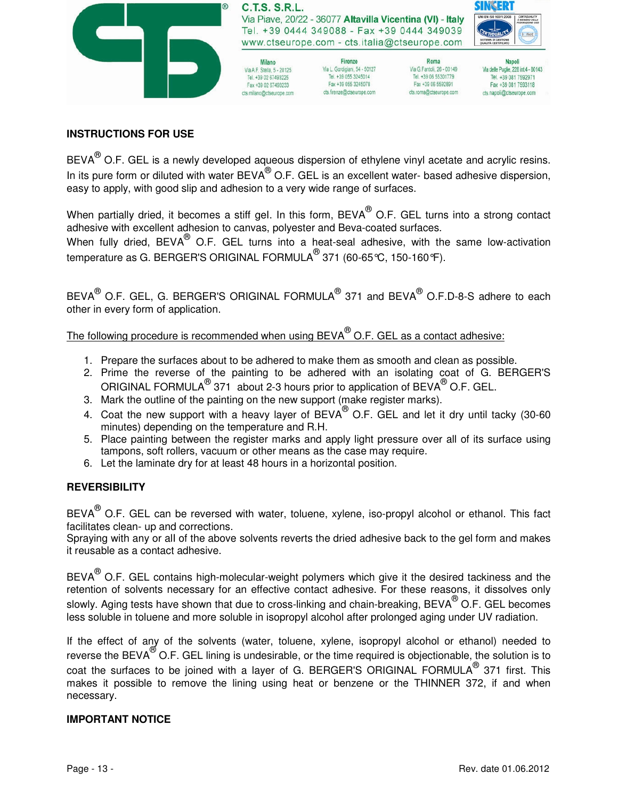

### **INSTRUCTIONS FOR USE**

BEVA $^{\circledR}$  O.F. GEL is a newly developed aqueous dispersion of ethylene vinyl acetate and acrylic resins. In its pure form or diluted with water BEVA $^\circledR$  O.F. GEL is an excellent water- based adhesive dispersion, easy to apply, with good slip and adhesion to a very wide range of surfaces.

When partially dried, it becomes a stiff gel. In this form, BEVA $^\circledR$  O.F. GEL turns into a strong contact adhesive with excellent adhesion to canvas, polyester and Beva-coated surfaces.

When fully dried,  $BEVA^{\circledast}$  O.F. GEL turns into a heat-seal adhesive, with the same low-activation temperature as G. BERGER'S ORIGINAL FORMULA $^\circledR$ 371 (60-65℃, 150-160℉).

BEVA $^\circledR$  O.F. GEL, G. BERGER'S ORIGINAL FORMULA $^\circledR$  371 and BEVA $^\circledR$  O.F.D-8-S adhere to each other in every form of application.

The following procedure is recommended when using BEVA $^\circledR$  O.F. GEL as a contact adhesive:

- 1. Prepare the surfaces about to be adhered to make them as smooth and clean as possible.
- 2. Prime the reverse of the painting to be adhered with an isolating coat of G. BERGER'S ORIGINAL FORMULA<sup>®</sup> 371 about 2-3 hours prior to application of BEVA<sup>®</sup> O.F. GEL.
- 3. Mark the outline of the painting on the new support (make register marks).
- 4. Coat the new support with a heavy layer of  $BEVA^{\circledast}$  O.F. GEL and let it dry until tacky (30-60 minutes) depending on the temperature and R.H.
- 5. Place painting between the register marks and apply light pressure over all of its surface using tampons, soft rollers, vacuum or other means as the case may require.
- 6. Let the laminate dry for at least 48 hours in a horizontal position.

### **REVERSIBILITY**

BEVA $^\circledR$  O.F. GEL can be reversed with water, toluene, xylene, iso-propyl alcohol or ethanol. This fact facilitates clean- up and corrections.

Spraying with any or alI of the above solvents reverts the dried adhesive back to the gel form and makes it reusable as a contact adhesive.

BEVA $^\circledR$  O.F. GEL contains high-molecular-weight polymers which give it the desired tackiness and the retention of solvents necessary for an effective contact adhesive. For these reasons, it dissolves only slowly. Aging tests have shown that due to cross-linking and chain-breaking, BEVA $^\circledR$  O.F. GEL becomes less soluble in toluene and more soluble in isopropyl alcohol after prolonged aging under UV radiation.

If the effect of any of the solvents (water, toluene, xylene, isopropyl alcohol or ethanol) needed to reverse the BEVA $^{\circledR}$ O.F. GEL lining is undesirable, or the time required is objectionable, the solution is to coat the surfaces to be joined with a layer of G. BERGER'S ORIGINAL FORMULA $^\circledR$  371 first. This makes it possible to remove the lining using heat or benzene or the THINNER 372, if and when necessary.

### **IMPORTANT NOTICE**